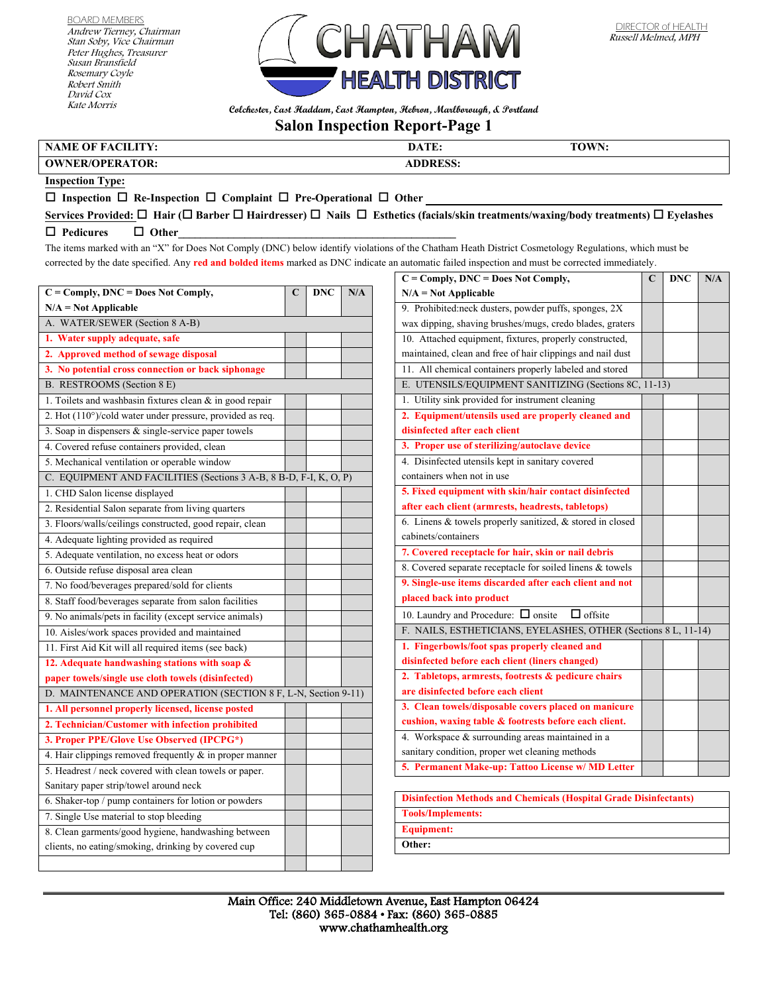BOARD MEMBERS Andrew Tierney, Chairman Stan Soby, Vice Chairman Peter Hughes, Treasurer Susan Bransfield Rosemary Coyle Robert Smith David Cox Kate Morris



**Colchester, East Haddam, East Hampton, Hebron, Marlborough, & Portland**

## **Salon Inspection Report-Page 1**

## **NAME OF FACILITY:** DATE: **DATE:** TOWN:

**OWNER/OPERATOR: ADDRESS:**

## **Inspection Type:**

 $\Box$  Inspection  $\Box$  Re-Inspection  $\Box$  Complaint  $\Box$  Pre-Operational  $\Box$  Other

**Services Provided: Hair ( Barber Hairdresser) Nails Esthetics (facials/skin treatments/waxing/body treatments) Eyelashes**   $\Box$  Pedicures  $\Box$  Other

The items marked with an "X" for Does Not Comply (DNC) below identify violations of the Chatham Heath District Cosmetology Regulations, which must be corrected by the date specified. Any **red and bolded items** marked as DNC indicate an automatic failed inspection and must be corrected immediately.

| $C = Comply, DNC = Does Not Comply,$                                | C | <b>DNC</b> | N/A |
|---------------------------------------------------------------------|---|------------|-----|
| $N/A = Not$ Applicable                                              |   |            |     |
| A. WATER/SEWER (Section 8 A-B)                                      |   |            |     |
| 1. Water supply adequate, safe                                      |   |            |     |
| 2. Approved method of sewage disposal                               |   |            |     |
| 3. No potential cross connection or back siphonage                  |   |            |     |
| B. RESTROOMS (Section 8 E)                                          |   |            |     |
| 1. Toilets and washbasin fixtures clean $\&$ in good repair         |   |            |     |
| 2. Hot $(110^{\circ})$ /cold water under pressure, provided as req. |   |            |     |
| 3. Soap in dispensers & single-service paper towels                 |   |            |     |
| 4. Covered refuse containers provided, clean                        |   |            |     |
| 5. Mechanical ventilation or operable window                        |   |            |     |
| C. EQUIPMENT AND FACILITIES (Sections 3 A-B, 8 B-D, F-I, K, O, P)   |   |            |     |
| 1. CHD Salon license displayed                                      |   |            |     |
| 2. Residential Salon separate from living quarters                  |   |            |     |
| 3. Floors/walls/ceilings constructed, good repair, clean            |   |            |     |
| 4. Adequate lighting provided as required                           |   |            |     |
| 5. Adequate ventilation, no excess heat or odors                    |   |            |     |
| 6. Outside refuse disposal area clean                               |   |            |     |
| 7. No food/beverages prepared/sold for clients                      |   |            |     |
| 8. Staff food/beverages separate from salon facilities              |   |            |     |
| 9. No animals/pets in facility (except service animals)             |   |            |     |
| 10. Aisles/work spaces provided and maintained                      |   |            |     |
| 11. First Aid Kit will all required items (see back)                |   |            |     |
| 12. Adequate handwashing stations with soap &                       |   |            |     |
| paper towels/single use cloth towels (disinfected)                  |   |            |     |
| D. MAINTENANCE AND OPERATION (SECTION 8 F, L-N, Section 9-11)       |   |            |     |
| 1. All personnel properly licensed, license posted                  |   |            |     |
| 2. Technician/Customer with infection prohibited                    |   |            |     |
| 3. Proper PPE/Glove Use Observed (IPCPG*)                           |   |            |     |
| 4. Hair clippings removed frequently $\&$ in proper manner          |   |            |     |
| 5. Headrest / neck covered with clean towels or paper.              |   |            |     |
| Sanitary paper strip/towel around neck                              |   |            |     |
| 6. Shaker-top / pump containers for lotion or powders               |   |            |     |
| 7. Single Use material to stop bleeding                             |   |            |     |
| 8. Clean garments/good hygiene, handwashing between                 |   |            |     |
| clients, no eating/smoking, drinking by covered cup                 |   |            |     |
|                                                                     |   |            |     |

| $C = Comply, DNC = Does Not Comply,$                           | C | <b>DNC</b> | N/A |
|----------------------------------------------------------------|---|------------|-----|
| $N/A = Not Applicable$                                         |   |            |     |
| 9. Prohibited:neck dusters, powder puffs, sponges, 2X          |   |            |     |
| wax dipping, shaving brushes/mugs, credo blades, graters       |   |            |     |
| 10. Attached equipment, fixtures, properly constructed,        |   |            |     |
| maintained, clean and free of hair clippings and nail dust     |   |            |     |
| 11. All chemical containers properly labeled and stored        |   |            |     |
| E. UTENSILS/EQUIPMENT SANITIZING (Sections 8C, 11-13)          |   |            |     |
| 1. Utility sink provided for instrument cleaning               |   |            |     |
| 2. Equipment/utensils used are properly cleaned and            |   |            |     |
| disinfected after each client                                  |   |            |     |
| 3. Proper use of sterilizing/autoclave device                  |   |            |     |
| 4. Disinfected utensils kept in sanitary covered               |   |            |     |
| containers when not in use                                     |   |            |     |
| 5. Fixed equipment with skin/hair contact disinfected          |   |            |     |
| after each client (armrests, headrests, tabletops)             |   |            |     |
| 6. Linens $&$ towels properly sanitized, $&$ stored in closed  |   |            |     |
| cabinets/containers                                            |   |            |     |
| 7. Covered receptacle for hair, skin or nail debris            |   |            |     |
| 8. Covered separate receptacle for soiled linens & towels      |   |            |     |
| 9. Single-use items discarded after each client and not        |   |            |     |
| placed back into product                                       |   |            |     |
| $\Box$ offsite<br>10. Laundry and Procedure: $\Box$ onsite     |   |            |     |
| F. NAILS, ESTHETICIANS, EYELASHES, OTHER (Sections 8 L, 11-14) |   |            |     |
| 1. Fingerbowls/foot spas properly cleaned and                  |   |            |     |
| disinfected before each client (liners changed)                |   |            |     |
| 2. Tabletops, armrests, footrests & pedicure chairs            |   |            |     |
| are disinfected before each client                             |   |            |     |
| 3. Clean towels/disposable covers placed on manicure           |   |            |     |
| cushion, waxing table & footrests before each client.          |   |            |     |
| 4. Workspace $&$ surrounding areas maintained in a             |   |            |     |
| sanitary condition, proper wet cleaning methods                |   |            |     |
| 5. Permanent Make-up: Tattoo License w/ MD Letter              |   |            |     |
|                                                                |   |            |     |

| <b>Disinfection Methods and Chemicals (Hospital Grade Disinfectants)</b> |
|--------------------------------------------------------------------------|
| <b>Tools/Implements:</b>                                                 |
| Equipment:                                                               |
| Other:                                                                   |